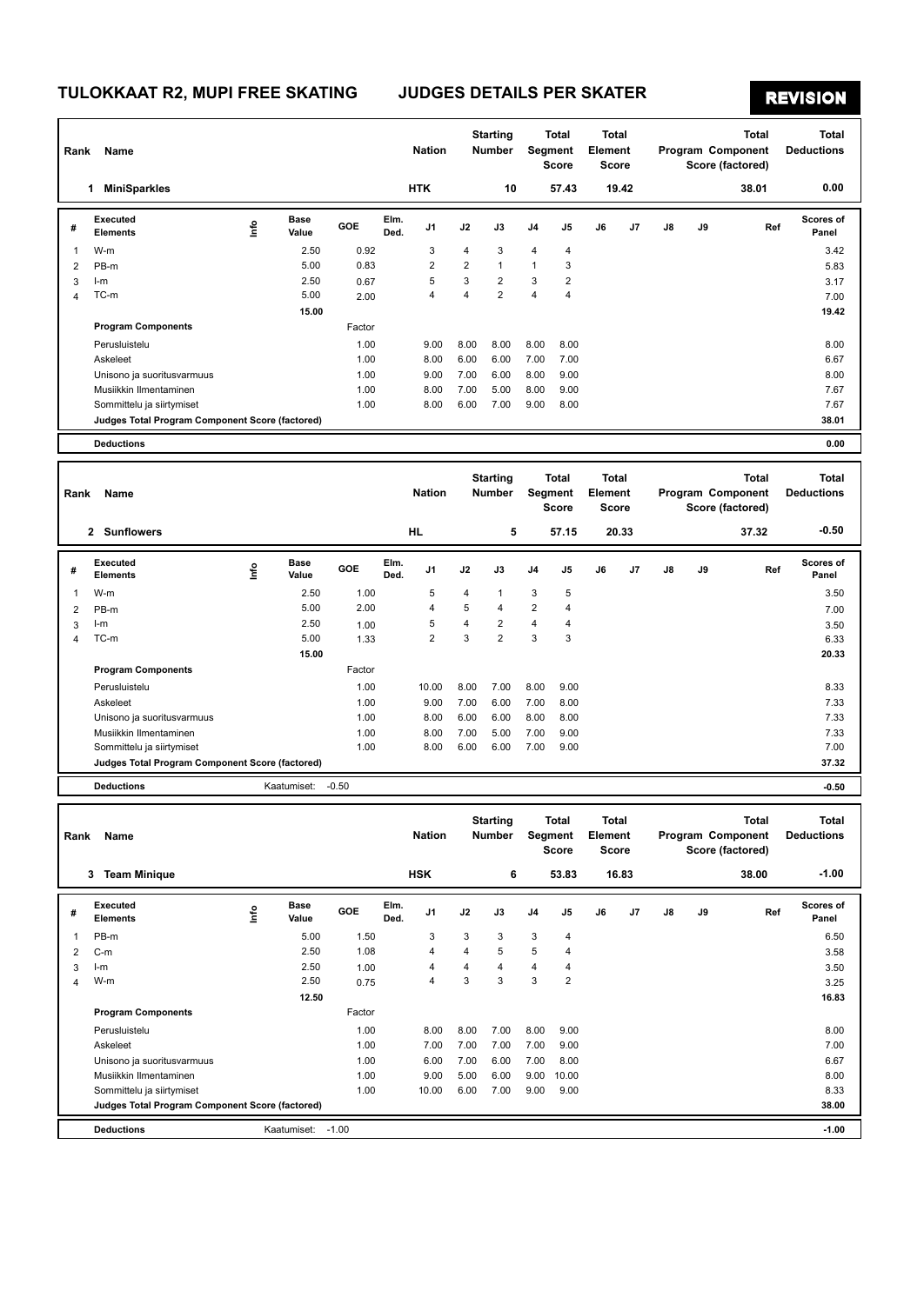# **REVISION**

| Rank           | Name                                            |      |                    |         |              | <b>Nation</b>  |                | <b>Starting</b><br>Number |                         | Total<br>Segment<br><b>Score</b> | Total<br>Element<br>Score |                           |                   |    | <b>Total</b><br>Program Component<br>Score (factored) | <b>Total</b><br><b>Deductions</b> |
|----------------|-------------------------------------------------|------|--------------------|---------|--------------|----------------|----------------|---------------------------|-------------------------|----------------------------------|---------------------------|---------------------------|-------------------|----|-------------------------------------------------------|-----------------------------------|
|                | <b>MiniSparkles</b><br>$\mathbf{1}$             |      |                    |         |              | <b>HTK</b>     |                | 10                        |                         | 57.43                            |                           | 19.42                     |                   |    | 38.01                                                 | 0.00                              |
| #              | <b>Executed</b><br><b>Elements</b>              | Info | Base<br>Value      | GOE     | Elm.<br>Ded. | J1             | J2             | J3                        | J4                      | J5                               | J6                        | J7                        | J8                | J9 | Ref                                                   | <b>Scores of</b><br>Panel         |
| 1              | W-m                                             |      | 2.50               | 0.92    |              | 3              | 4              | 3                         | 4                       | 4                                |                           |                           |                   |    |                                                       | 3.42                              |
| 2              | PB-m                                            |      | 5.00               | 0.83    |              | $\overline{2}$ | $\overline{2}$ | $\mathbf{1}$              | 1                       | 3                                |                           |                           |                   |    |                                                       | 5.83                              |
| 3              | $l-m$                                           |      | 2.50               | 0.67    |              | 5              | 3              | $\overline{2}$            | 3                       | $\overline{\mathbf{c}}$          |                           |                           |                   |    |                                                       | 3.17                              |
| 4              | TC-m                                            |      | 5.00               | 2.00    |              | 4              | $\overline{4}$ | $\overline{2}$            | 4                       | $\overline{4}$                   |                           |                           |                   |    |                                                       | 7.00                              |
|                |                                                 |      | 15.00              |         |              |                |                |                           |                         |                                  |                           |                           |                   |    |                                                       | 19.42                             |
|                | <b>Program Components</b>                       |      |                    | Factor  |              |                |                |                           |                         |                                  |                           |                           |                   |    |                                                       |                                   |
|                | Perusluistelu                                   |      |                    | 1.00    |              | 9.00           | 8.00           | 8.00                      | 8.00                    | 8.00                             |                           |                           |                   |    |                                                       | 8.00                              |
|                | Askeleet                                        |      |                    | 1.00    |              | 8.00           | 6.00           | 6.00                      | 7.00                    | 7.00                             |                           |                           |                   |    |                                                       | 6.67                              |
|                | Unisono ja suoritusvarmuus                      |      |                    | 1.00    |              | 9.00           | 7.00           | 6.00                      | 8.00                    | 9.00                             |                           |                           |                   |    |                                                       | 8.00                              |
|                | Musiikkin Ilmentaminen                          |      |                    | 1.00    |              | 8.00           | 7.00           | 5.00                      | 8.00                    | 9.00                             |                           |                           |                   |    |                                                       | 7.67                              |
|                | Sommittelu ja siirtymiset                       |      |                    | 1.00    |              | 8.00           | 6.00           | 7.00                      | 9.00                    | 8.00                             |                           |                           |                   |    |                                                       | 7.67                              |
|                | Judges Total Program Component Score (factored) |      |                    |         |              |                |                |                           |                         |                                  |                           |                           |                   |    |                                                       | 38.01                             |
|                | <b>Deductions</b>                               |      |                    |         |              |                |                |                           |                         |                                  |                           |                           |                   |    |                                                       | 0.00                              |
|                |                                                 |      |                    |         |              |                |                | <b>Starting</b>           |                         |                                  | <b>Total</b>              |                           |                   |    | <b>Total</b>                                          |                                   |
| Rank           | Name                                            |      |                    |         |              | <b>Nation</b>  |                | <b>Number</b>             |                         | Total<br>Segment<br><b>Score</b> |                           | Element<br>Score          |                   |    | <b>Total</b><br>Program Component<br>Score (factored) | <b>Deductions</b>                 |
|                | 2 Sunflowers                                    |      |                    |         |              | HL             |                | 5                         |                         | 57.15                            |                           | 20.33                     |                   |    | 37.32                                                 | $-0.50$                           |
|                | <b>Executed</b>                                 |      | <b>Base</b>        | GOE     | Elm.         | J1             | J2             | J3                        | J4                      | J5                               | J6                        | J7                        | J8                | J9 | Ref                                                   | Scores of                         |
| #              | <b>Elements</b>                                 | lnfo | Value              |         | Ded.         |                |                |                           |                         |                                  |                           |                           |                   |    |                                                       | Panel                             |
| 1              | W-m                                             |      | 2.50               | 1.00    |              | 5              | 4              | $\mathbf{1}$              | 3                       | 5                                |                           |                           |                   |    |                                                       | 3.50                              |
| $\overline{2}$ | PB-m                                            |      | 5.00               | 2.00    |              | 4              | 5              | 4                         | $\overline{\mathbf{c}}$ | $\overline{4}$                   |                           |                           |                   |    |                                                       | 7.00                              |
| 3              | $l-m$                                           |      | 2.50               | 1.00    |              | 5              | $\overline{4}$ | $\overline{2}$            | 4                       | 4                                |                           |                           |                   |    |                                                       | 3.50                              |
| 4              | TC-m                                            |      | 5.00               | 1.33    |              | $\overline{2}$ | 3              | $\overline{2}$            | 3                       | 3                                |                           |                           |                   |    |                                                       | 6.33                              |
|                |                                                 |      | 15.00              |         |              |                |                |                           |                         |                                  |                           |                           |                   |    |                                                       | 20.33                             |
|                | <b>Program Components</b>                       |      |                    | Factor  |              |                |                |                           |                         |                                  |                           |                           |                   |    |                                                       |                                   |
|                | Perusluistelu                                   |      |                    | 1.00    |              | 10.00          | 8.00           | 7.00                      | 8.00                    | 9.00                             |                           |                           |                   |    |                                                       | 8.33                              |
|                | Askeleet                                        |      |                    | 1.00    |              | 9.00           | 7.00           | 6.00                      | 7.00                    | 8.00                             |                           |                           |                   |    |                                                       | 7.33                              |
|                | Unisono ja suoritusvarmuus                      |      |                    | 1.00    |              | 8.00           | 6.00           | 6.00                      | 8.00                    | 8.00                             |                           |                           |                   |    |                                                       | 7.33                              |
|                | Musiikkin Ilmentaminen                          |      |                    | 1.00    |              | 8.00           | 7.00           | 5.00                      | 7.00                    | 9.00                             |                           |                           |                   |    |                                                       | 7.33                              |
|                | Sommittelu ja siirtymiset                       |      |                    | 1.00    |              | 8.00           | 6.00           | 6.00                      | 7.00                    | 9.00                             |                           |                           |                   |    |                                                       | 7.00                              |
|                | Judges Total Program Component Score (factored) |      |                    |         |              |                |                |                           |                         |                                  |                           |                           |                   |    |                                                       | 37.32                             |
|                | <b>Deductions</b>                               |      | Kaatumiset:        | $-0.50$ |              |                |                |                           |                         |                                  |                           |                           |                   |    |                                                       | $-0.50$                           |
| Rank<br>Name   |                                                 |      |                    |         |              | <b>Nation</b>  |                | <b>Starting</b><br>Number |                         | Total<br>Segment<br>Score        |                           | Total<br>Element<br>Score | Program Component |    | Total<br>Score (factored)                             | <b>Total</b><br><b>Deductions</b> |
|                | 3 Team Minique                                  |      |                    |         |              | <b>HSK</b>     |                | 6                         |                         | 53.83                            |                           | 16.83                     |                   |    | 38.00                                                 | $-1.00$                           |
|                | <b>Executed</b>                                 |      | Base               |         | Elm.         |                |                |                           |                         |                                  |                           |                           |                   |    |                                                       | Scores of                         |
| #              | <b>Elements</b>                                 | ١nfo | Value              | GOE     | Ded.         | J1             | J2             | J3                        | J4                      | J5                               | J6                        | J7                        | J8                | J9 | Ref                                                   | Panel                             |
| 1              | PB-m                                            |      | 5.00               | 1.50    |              | 3              | 3              | 3                         | 3                       | 4                                |                           |                           |                   |    |                                                       | 6.50                              |
| $\overline{2}$ | $C-m$                                           |      | 2.50               | 1.08    |              | 4              | 4              | 5                         | 5                       | $\overline{\mathbf{4}}$          |                           |                           |                   |    |                                                       | 3.58                              |
| 3              | $l-m$                                           |      | 2.50               | 1.00    |              | 4              | 4              | 4                         | 4                       | 4                                |                           |                           |                   |    |                                                       | 3.50                              |
| 4              | W-m                                             |      | 2.50               | 0.75    |              | $\overline{4}$ | 3              | 3                         | 3                       | $\overline{2}$                   |                           |                           |                   |    |                                                       | 3.25                              |
|                | <b>Program Components</b>                       |      | 12.50              | Factor  |              |                |                |                           |                         |                                  |                           |                           |                   |    |                                                       | 16.83                             |
|                | Perusluistelu                                   |      |                    | 1.00    |              | 8.00           | 8.00           | 7.00                      | 8.00                    | 9.00                             |                           |                           |                   |    |                                                       | 8.00                              |
|                | Askeleet                                        |      |                    | 1.00    |              | 7.00           | 7.00           | 7.00                      | 7.00                    | 9.00                             |                           |                           |                   |    |                                                       | 7.00                              |
|                | Unisono ja suoritusvarmuus                      |      |                    | 1.00    |              | 6.00           | 7.00           | 6.00                      | 7.00                    | 8.00                             |                           |                           |                   |    |                                                       | 6.67                              |
|                | Musiikkin Ilmentaminen                          |      |                    | 1.00    |              | 9.00           | 5.00           | 6.00                      | 9.00                    | 10.00                            |                           |                           |                   |    |                                                       | 8.00                              |
|                | Sommittelu ja siirtymiset                       |      |                    | 1.00    |              | 10.00          | 6.00           | 7.00                      | 9.00                    | 9.00                             |                           |                           |                   |    |                                                       | 8.33                              |
|                | Judges Total Program Component Score (factored) |      |                    |         |              |                |                |                           |                         |                                  |                           |                           |                   |    |                                                       | 38.00                             |
|                |                                                 |      |                    |         |              |                |                |                           |                         |                                  |                           |                           |                   |    |                                                       |                                   |
|                | <b>Deductions</b>                               |      | Kaatumiset: - 1.00 |         |              |                |                |                           |                         |                                  |                           |                           |                   |    |                                                       | $-1.00$                           |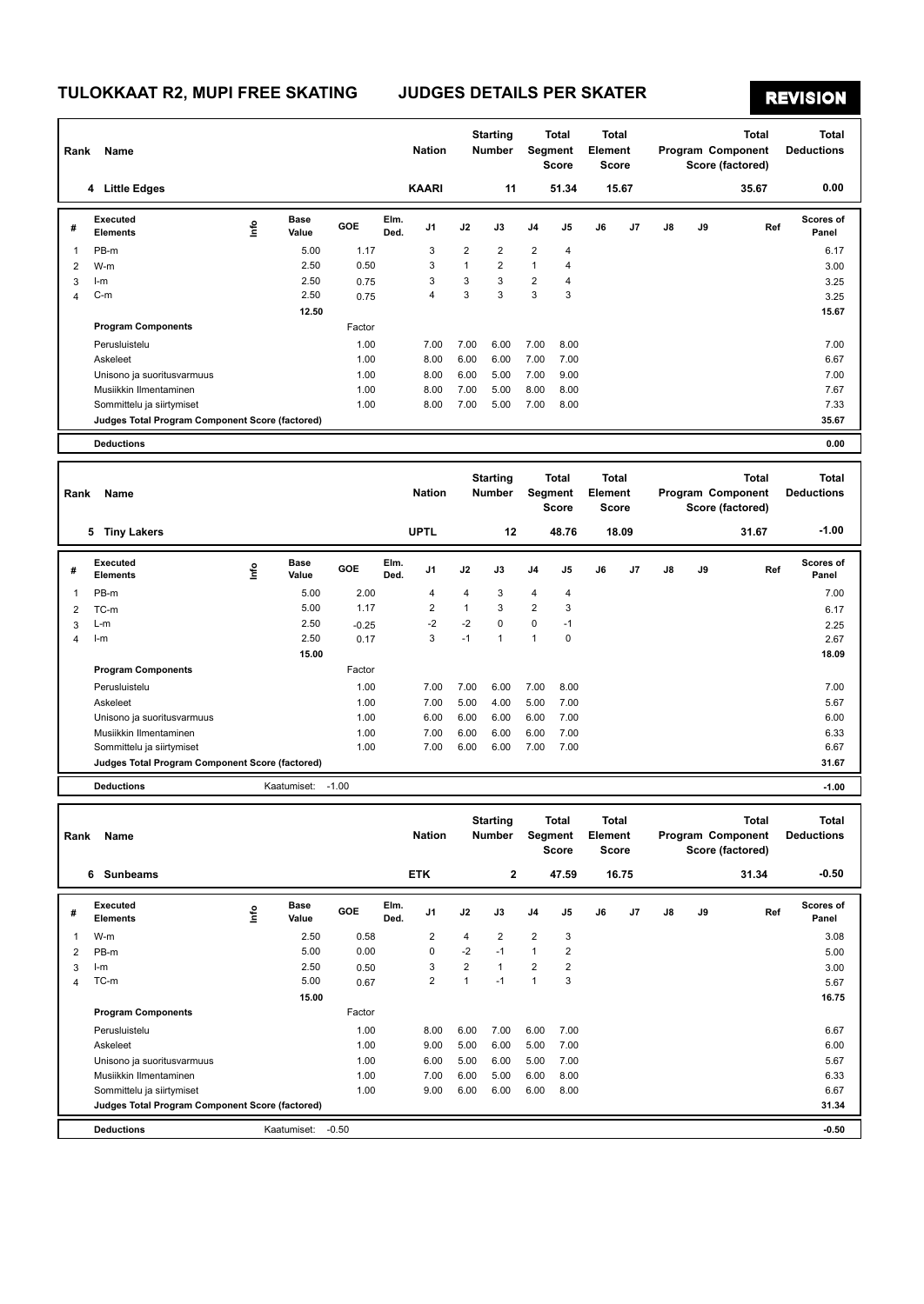# **REVISION**

| Rank           | Name                                            |                           |                      |         |              | <b>Nation</b>  |                         | <b>Starting</b><br>Number |                         | <b>Total</b><br>Segment<br><b>Score</b> |                                  | <b>Total</b><br>Element<br>Score |                   |    | <b>Total</b><br>Program Component<br>Score (factored) | <b>Total</b><br><b>Deductions</b> |
|----------------|-------------------------------------------------|---------------------------|----------------------|---------|--------------|----------------|-------------------------|---------------------------|-------------------------|-----------------------------------------|----------------------------------|----------------------------------|-------------------|----|-------------------------------------------------------|-----------------------------------|
|                | 4 Little Edges                                  |                           |                      |         |              | <b>KAARI</b>   |                         | 11                        |                         | 51.34                                   |                                  | 15.67                            |                   |    | 35.67                                                 | 0.00                              |
| #              | <b>Executed</b><br><b>Elements</b>              | lnfo                      | <b>Base</b><br>Value | GOE     | Elm.<br>Ded. | J1             | J2                      | J3                        | J4                      | J5                                      | J6                               | J7                               | J8                | J9 | Ref                                                   | Scores of<br>Panel                |
| 1              | PB-m                                            |                           | 5.00                 | 1.17    |              | 3              | $\overline{2}$          | $\overline{2}$            | $\overline{2}$          | 4                                       |                                  |                                  |                   |    |                                                       | 6.17                              |
| 2              | W-m                                             |                           | 2.50                 | 0.50    |              | 3              | $\mathbf{1}$            | 2                         | $\mathbf{1}$            | 4                                       |                                  |                                  |                   |    |                                                       | 3.00                              |
| 3              | I-m                                             |                           | 2.50                 | 0.75    |              | 3              | 3                       | 3                         | $\overline{2}$          | $\overline{4}$                          |                                  |                                  |                   |    |                                                       | 3.25                              |
| $\overline{4}$ | C-m                                             |                           | 2.50                 | 0.75    |              | 4              | 3                       | 3                         | 3                       | 3                                       |                                  |                                  |                   |    |                                                       | 3.25                              |
|                |                                                 |                           | 12.50                |         |              |                |                         |                           |                         |                                         |                                  |                                  |                   |    |                                                       | 15.67                             |
|                | <b>Program Components</b>                       |                           |                      | Factor  |              |                |                         |                           |                         |                                         |                                  |                                  |                   |    |                                                       |                                   |
|                | Perusluistelu                                   |                           |                      | 1.00    |              | 7.00           | 7.00                    | 6.00                      | 7.00                    | 8.00                                    |                                  |                                  |                   |    |                                                       | 7.00                              |
|                | Askeleet                                        |                           |                      | 1.00    |              | 8.00           | 6.00                    | 6.00                      | 7.00                    | 7.00                                    |                                  |                                  |                   |    |                                                       | 6.67                              |
|                | Unisono ja suoritusvarmuus                      |                           |                      | 1.00    |              | 8.00           | 6.00                    | 5.00                      | 7.00                    | 9.00                                    |                                  |                                  |                   |    |                                                       | 7.00                              |
|                | Musiikkin Ilmentaminen                          |                           |                      | 1.00    |              | 8.00           | 7.00                    | 5.00                      | 8.00                    | 8.00                                    |                                  |                                  |                   |    |                                                       | 7.67                              |
|                | Sommittelu ja siirtymiset                       |                           |                      | 1.00    |              | 8.00           | 7.00                    | 5.00                      | 7.00                    | 8.00                                    |                                  |                                  |                   |    |                                                       | 7.33                              |
|                | Judges Total Program Component Score (factored) |                           |                      |         |              |                |                         |                           |                         |                                         |                                  |                                  |                   |    |                                                       | 35.67                             |
|                | <b>Deductions</b>                               |                           |                      |         |              |                |                         |                           |                         |                                         |                                  |                                  |                   |    |                                                       | 0.00                              |
|                |                                                 |                           |                      |         |              |                |                         | <b>Starting</b>           |                         | <b>Total</b>                            |                                  |                                  |                   |    | <b>Total</b>                                          | <b>Total</b>                      |
| Rank           | Name                                            |                           |                      |         |              | <b>Nation</b>  |                         | <b>Number</b>             | Segment<br><b>Score</b> |                                         | Total<br><b>Element</b><br>Score |                                  | Program Component |    | Score (factored)                                      | <b>Deductions</b>                 |
|                | 5 Tiny Lakers                                   |                           |                      |         |              | <b>UPTL</b>    |                         | 12                        |                         | 48.76                                   |                                  | 18.09                            |                   |    | 31.67                                                 | $-1.00$                           |
|                | <b>Executed</b>                                 |                           | <b>Base</b>          | GOE     | Elm.         | J1             | J2                      | J3                        | J4                      | J5                                      | J6                               | J7                               | J8                | J9 | Ref                                                   | Scores of                         |
| #              | <b>Elements</b>                                 | Info                      | Value                |         | Ded.         |                |                         |                           |                         |                                         |                                  |                                  |                   |    |                                                       | Panel                             |
| 1              | PB-m                                            |                           | 5.00                 | 2.00    |              | 4              | $\overline{4}$          | 3                         | $\overline{4}$          | 4                                       |                                  |                                  |                   |    |                                                       | 7.00                              |
| 2              | TC-m                                            |                           | 5.00                 | 1.17    |              | 2              | $\mathbf{1}$            | 3                         | $\overline{2}$          | 3                                       |                                  |                                  |                   |    |                                                       | 6.17                              |
| 3              | L-m                                             |                           | 2.50                 | $-0.25$ |              | $-2$           | $-2$                    | 0                         | $\mathbf 0$             | $-1$                                    |                                  |                                  |                   |    |                                                       | 2.25                              |
| $\overline{4}$ | $l-m$                                           |                           | 2.50                 | 0.17    |              | 3              | $-1$                    | $\mathbf{1}$              | $\mathbf{1}$            | $\mathbf 0$                             |                                  |                                  |                   |    |                                                       | 2.67                              |
|                |                                                 |                           | 15.00                |         |              |                |                         |                           |                         |                                         |                                  |                                  |                   |    |                                                       | 18.09                             |
|                | <b>Program Components</b>                       |                           |                      | Factor  |              |                |                         |                           |                         |                                         |                                  |                                  |                   |    |                                                       |                                   |
|                | Perusluistelu                                   |                           |                      | 1.00    |              | 7.00           | 7.00                    | 6.00                      | 7.00                    | 8.00                                    |                                  |                                  |                   |    |                                                       | 7.00                              |
|                | Askeleet                                        |                           |                      | 1.00    |              | 7.00           | 5.00                    | 4.00                      | 5.00                    | 7.00                                    |                                  |                                  |                   |    |                                                       | 5.67                              |
|                | Unisono ja suoritusvarmuus                      |                           |                      | 1.00    |              | 6.00           | 6.00                    | 6.00                      | 6.00                    | 7.00                                    |                                  |                                  |                   |    |                                                       | 6.00                              |
|                | Musiikkin Ilmentaminen                          |                           |                      | 1.00    |              | 7.00           | 6.00                    | 6.00                      | 6.00                    | 7.00                                    |                                  |                                  |                   |    |                                                       | 6.33                              |
|                | Sommittelu ja siirtymiset                       |                           |                      | 1.00    |              | 7.00           | 6.00                    | 6.00                      | 7.00                    | 7.00                                    |                                  |                                  |                   |    |                                                       | 6.67                              |
|                | Judges Total Program Component Score (factored) |                           |                      |         |              |                |                         |                           |                         |                                         |                                  |                                  |                   |    |                                                       | 31.67                             |
|                | <b>Deductions</b>                               |                           | Kaatumiset:          | $-1.00$ |              |                |                         |                           |                         |                                         |                                  |                                  |                   |    |                                                       | $-1.00$                           |
| Rank           | Name                                            |                           |                      |         |              | <b>Nation</b>  |                         | <b>Starting</b><br>Number |                         | Total<br>Segment<br>Score               | Element                          | Total<br>Score                   |                   |    | Total<br>Program Component<br>Score (factored)        | Total<br><b>Deductions</b>        |
|                | 6 Sunbeams                                      |                           |                      |         |              | <b>ETK</b>     |                         | 2                         |                         | 47.59                                   |                                  | 16.75                            |                   |    | 31.34                                                 | -0.50                             |
|                | Executed                                        |                           | Base                 |         | Elm.         |                |                         |                           |                         |                                         |                                  |                                  |                   |    |                                                       | Scores of                         |
| #              | Elements                                        | $\mathsf{Int}^\mathsf{o}$ | Value                | GOE     | Ded.         | J1             | J2                      | J3                        | J4                      | J5                                      | J6                               | J7                               | J8                | J9 | Ref                                                   | Panel                             |
| 1              | W-m                                             |                           | 2.50                 | 0.58    |              | 2              | $\overline{\mathbf{4}}$ | 2                         | $\overline{2}$          | 3                                       |                                  |                                  |                   |    |                                                       | 3.08                              |
| 2              | PB-m                                            |                           | 5.00                 | 0.00    |              | 0              | $-2$                    | $-1$                      | $\mathbf{1}$            | $\overline{2}$                          |                                  |                                  |                   |    |                                                       | 5.00                              |
| 3              | $l-m$                                           |                           | 2.50                 | 0.50    |              | 3              | $\sqrt{2}$              | $\mathbf{1}$              | $\overline{\mathbf{c}}$ | $\overline{\mathbf{c}}$                 |                                  |                                  |                   |    |                                                       | 3.00                              |
| $\overline{4}$ | TC-m                                            |                           | 5.00                 | 0.67    |              | $\overline{2}$ | $\mathbf{1}$            | $-1$                      | $\mathbf{1}$            | 3                                       |                                  |                                  |                   |    |                                                       | 5.67                              |
|                | <b>Program Components</b>                       |                           | 15.00                | Factor  |              |                |                         |                           |                         |                                         |                                  |                                  |                   |    |                                                       | 16.75                             |
|                | Perusluistelu                                   |                           |                      | 1.00    |              | 8.00           | 6.00                    | 7.00                      | 6.00                    | 7.00                                    |                                  |                                  |                   |    |                                                       | 6.67                              |
|                | Askeleet                                        |                           |                      | 1.00    |              | 9.00           | 5.00                    | 6.00                      | 5.00                    | 7.00                                    |                                  |                                  |                   |    |                                                       | 6.00                              |
|                | Unisono ja suoritusvarmuus                      |                           |                      | 1.00    |              | 6.00           | 5.00                    | 6.00                      | 5.00                    | 7.00                                    |                                  |                                  |                   |    |                                                       | 5.67                              |
|                | Musiikkin Ilmentaminen                          |                           |                      | 1.00    |              | 7.00           | 6.00                    | 5.00                      | 6.00                    | 8.00                                    |                                  |                                  |                   |    |                                                       | 6.33                              |
|                | Sommittelu ja siirtymiset                       |                           |                      | 1.00    |              | 9.00           | 6.00                    | 6.00                      | 6.00                    | 8.00                                    |                                  |                                  |                   |    |                                                       | 6.67                              |
|                | Judges Total Program Component Score (factored) |                           |                      |         |              |                |                         |                           |                         |                                         |                                  |                                  |                   |    |                                                       | 31.34                             |
|                | <b>Deductions</b>                               |                           | Kaatumiset: - 0.50   |         |              |                |                         |                           |                         |                                         |                                  |                                  |                   |    |                                                       | $-0.50$                           |
|                |                                                 |                           |                      |         |              |                |                         |                           |                         |                                         |                                  |                                  |                   |    |                                                       |                                   |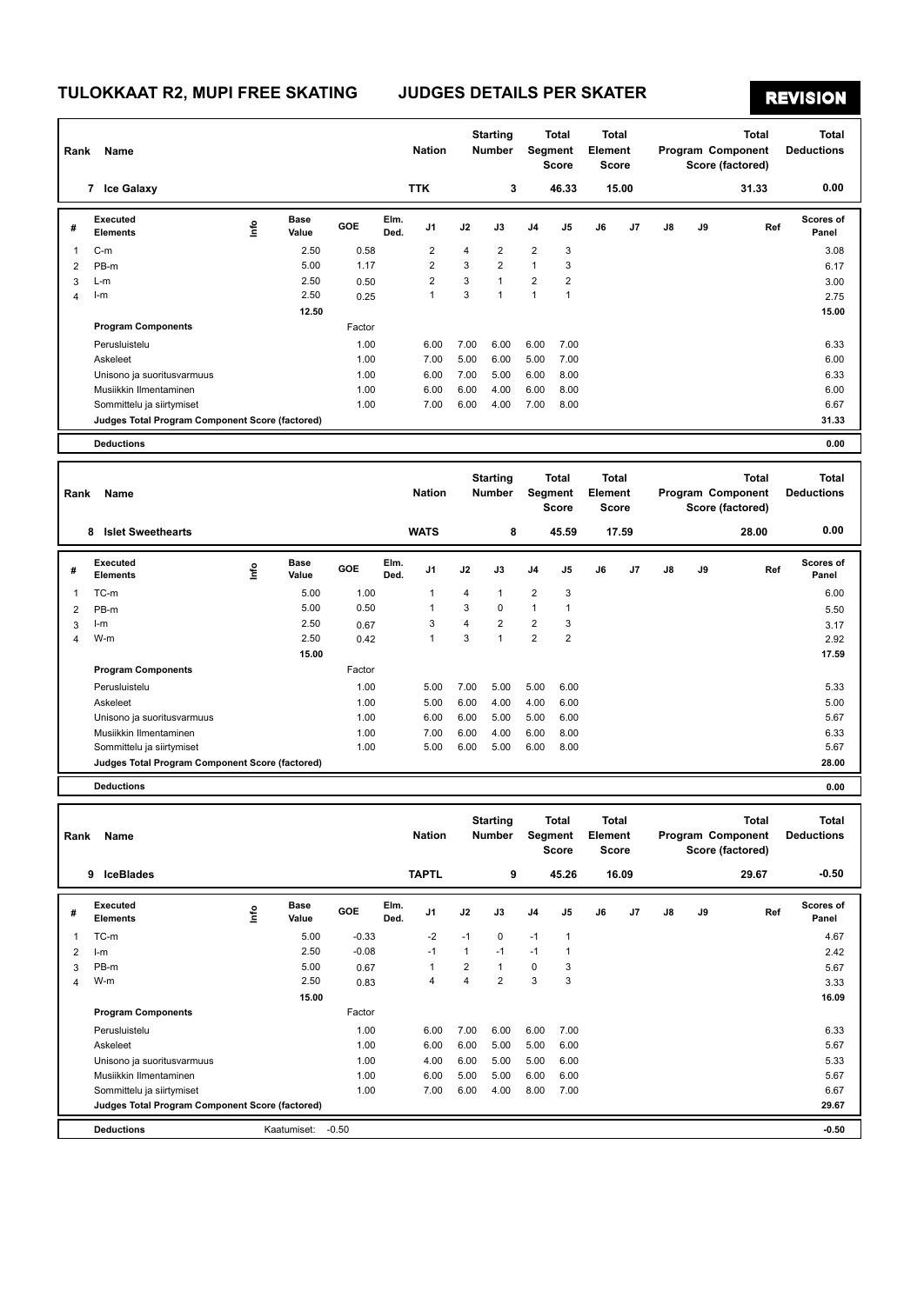# **REVISION**

| Rank           | Name                                            |      |                      |         |              | <b>Nation</b>  |                         | <b>Starting</b><br>Number |                         | <b>Total</b><br>Segment<br><b>Score</b> | <b>Total</b><br>Element<br><b>Score</b> |       |                                       |    | <b>Total</b><br>Program Component<br>Score (factored) |              | <b>Total</b><br><b>Deductions</b> |
|----------------|-------------------------------------------------|------|----------------------|---------|--------------|----------------|-------------------------|---------------------------|-------------------------|-----------------------------------------|-----------------------------------------|-------|---------------------------------------|----|-------------------------------------------------------|--------------|-----------------------------------|
|                | 7 Ice Galaxy                                    |      |                      |         |              | <b>TTK</b>     |                         | 3                         |                         | 46.33                                   |                                         | 15.00 |                                       |    | 31.33                                                 |              | 0.00                              |
| #              | <b>Executed</b><br><b>Elements</b>              | lnfo | <b>Base</b><br>Value | GOE     | Elm.<br>Ded. | J1             | J2                      | J3                        | J <sub>4</sub>          | J5                                      | J6                                      | J7    | J8                                    | J9 |                                                       | Ref          | Scores of<br>Panel                |
| 1              | $C-m$                                           |      | 2.50                 | 0.58    |              | $\overline{2}$ | 4                       | $\overline{2}$            | $\overline{\mathbf{c}}$ | 3                                       |                                         |       |                                       |    |                                                       |              | 3.08                              |
| $\overline{2}$ | PB-m                                            |      | 5.00                 | 1.17    |              | $\overline{2}$ | 3                       | $\overline{2}$            | $\mathbf{1}$            | 3                                       |                                         |       |                                       |    |                                                       |              | 6.17                              |
| 3              | L-m                                             |      | 2.50                 | 0.50    |              | $\overline{2}$ | 3                       | 1                         | $\overline{2}$          | $\overline{2}$                          |                                         |       |                                       |    |                                                       |              | 3.00                              |
| 4              | $l-m$                                           |      | 2.50                 | 0.25    |              | $\mathbf{1}$   | 3                       | $\mathbf{1}$              | $\mathbf{1}$            | $\mathbf{1}$                            |                                         |       |                                       |    |                                                       |              | 2.75                              |
|                |                                                 |      | 12.50                |         |              |                |                         |                           |                         |                                         |                                         |       |                                       |    |                                                       |              | 15.00                             |
|                | <b>Program Components</b>                       |      |                      | Factor  |              |                |                         |                           |                         |                                         |                                         |       |                                       |    |                                                       |              |                                   |
|                | Perusluistelu                                   |      |                      | 1.00    |              | 6.00           | 7.00                    | 6.00                      | 6.00                    | 7.00                                    |                                         |       |                                       |    |                                                       |              | 6.33                              |
|                | Askeleet                                        |      |                      | 1.00    |              | 7.00           | 5.00                    | 6.00                      | 5.00                    | 7.00                                    |                                         |       |                                       |    |                                                       |              | 6.00                              |
|                | Unisono ja suoritusvarmuus                      |      |                      | 1.00    |              | 6.00           | 7.00                    | 5.00                      | 6.00                    | 8.00                                    |                                         |       |                                       |    |                                                       |              | 6.33                              |
|                | Musiikkin Ilmentaminen                          |      |                      | 1.00    |              | 6.00           | 6.00                    | 4.00                      | 6.00                    | 8.00                                    |                                         |       |                                       |    |                                                       |              | 6.00                              |
|                | Sommittelu ja siirtymiset                       |      |                      | 1.00    |              | 7.00           | 6.00                    | 4.00                      | 7.00                    | 8.00                                    |                                         |       |                                       |    |                                                       |              | 6.67                              |
|                | Judges Total Program Component Score (factored) |      |                      |         |              |                |                         |                           |                         |                                         |                                         |       |                                       |    |                                                       |              | 31.33                             |
|                | <b>Deductions</b>                               |      |                      |         |              |                |                         |                           |                         |                                         |                                         |       |                                       |    |                                                       |              | 0.00                              |
|                |                                                 |      |                      |         |              |                |                         | <b>Starting</b>           |                         | <b>Total</b>                            | Total                                   |       |                                       |    |                                                       | <b>Total</b> | <b>Total</b>                      |
| Rank           | Name                                            |      |                      |         |              | <b>Nation</b>  |                         | <b>Number</b>             |                         | Segment<br><b>Score</b>                 | <b>Element</b><br><b>Score</b>          |       | Program Component<br>Score (factored) |    |                                                       |              | <b>Deductions</b>                 |
|                | <b>Islet Sweethearts</b><br>8                   |      |                      |         |              | <b>WATS</b>    |                         | 8                         |                         | 45.59                                   |                                         | 17.59 |                                       |    | 28.00                                                 |              | 0.00                              |
| #              | <b>Executed</b><br><b>Elements</b>              | lnfo | Base<br>Value        | GOE     | Elm.<br>Ded. | J1             | J2                      | J3                        | J <sub>4</sub>          | J5                                      | J6                                      | J7    | $\mathsf{J}8$                         | J9 |                                                       | Ref          | Scores of<br>Panel                |
| 1              | TC-m                                            |      | 5.00                 | 1.00    |              | $\mathbf{1}$   | 4                       | $\mathbf{1}$              | $\overline{\mathbf{c}}$ | 3                                       |                                         |       |                                       |    |                                                       |              | 6.00                              |
| 2              | PB-m                                            |      | 5.00                 | 0.50    |              | 1              | 3                       | 0                         | $\mathbf{1}$            | $\mathbf{1}$                            |                                         |       |                                       |    |                                                       |              | 5.50                              |
| 3              | $l-m$                                           |      | 2.50                 | 0.67    |              | 3              | $\overline{\mathbf{4}}$ | $\overline{\mathbf{c}}$   | $\overline{\mathbf{c}}$ | 3                                       |                                         |       |                                       |    |                                                       |              | 3.17                              |
| 4              | W-m                                             |      | 2.50                 | 0.42    |              | $\mathbf{1}$   | 3                       | $\mathbf{1}$              | $\overline{2}$          | $\overline{2}$                          |                                         |       |                                       |    |                                                       |              | 2.92                              |
|                |                                                 |      | 15.00                |         |              |                |                         |                           |                         |                                         |                                         |       |                                       |    |                                                       |              | 17.59                             |
|                | <b>Program Components</b>                       |      |                      | Factor  |              |                |                         |                           |                         |                                         |                                         |       |                                       |    |                                                       |              |                                   |
|                | Perusluistelu                                   |      |                      | 1.00    |              | 5.00           | 7.00                    | 5.00                      | 5.00                    | 6.00                                    |                                         |       |                                       |    |                                                       |              | 5.33                              |
|                | Askeleet                                        |      |                      | 1.00    |              | 5.00           | 6.00                    | 4.00                      | 4.00                    | 6.00                                    |                                         |       |                                       |    |                                                       |              | 5.00                              |
|                | Unisono ja suoritusvarmuus                      |      |                      | 1.00    |              | 6.00           | 6.00                    | 5.00                      | 5.00                    | 6.00                                    |                                         |       |                                       |    |                                                       |              | 5.67                              |
|                | Musiikkin Ilmentaminen                          |      |                      | 1.00    |              | 7.00           | 6.00                    | 4.00                      | 6.00                    | 8.00                                    |                                         |       |                                       |    |                                                       |              | 6.33                              |
|                | Sommittelu ja siirtymiset                       |      |                      | 1.00    |              | 5.00           | 6.00                    | 5.00                      | 6.00                    | 8.00                                    |                                         |       |                                       |    |                                                       |              | 5.67                              |
|                | Judges Total Program Component Score (factored) |      |                      |         |              |                |                         |                           |                         |                                         |                                         |       |                                       |    |                                                       |              | 28.00                             |
|                | <b>Deductions</b>                               |      |                      |         |              |                |                         |                           |                         |                                         |                                         |       |                                       |    |                                                       |              | 0.00                              |
|                |                                                 |      |                      |         |              |                |                         | <b>Starting</b>           |                         | Total                                   | Total                                   |       |                                       |    |                                                       | Total        | Total                             |
| Rank           | Name                                            |      |                      |         |              | <b>Nation</b>  |                         | Number                    |                         | Segment                                 | Element                                 |       |                                       |    | Program Component                                     |              | <b>Deductions</b>                 |
|                |                                                 |      |                      |         |              |                |                         |                           |                         | <b>Score</b>                            | Score                                   |       |                                       |    | Score (factored)                                      |              |                                   |
|                | 9 IceBlades                                     |      |                      |         |              | <b>TAPTL</b>   |                         | 9                         |                         | 45.26                                   |                                         | 16.09 |                                       |    | 29.67                                                 |              | -0.50                             |
|                |                                                 |      |                      |         |              |                |                         |                           |                         |                                         |                                         |       |                                       |    |                                                       |              |                                   |
| #              | Executed<br><b>Elements</b>                     | lnfo | Base<br>Value        | GOE     | Elm.<br>Ded. | J1             | J2                      | J3                        | J4                      | J5                                      | J6                                      | J7    | J8                                    | J9 |                                                       | Ref          | Scores of<br>Panel                |
| 1              | TC-m                                            |      | 5.00                 | $-0.33$ |              | $-2$           | $-1$                    | 0                         | $-1$                    | $\mathbf{1}$                            |                                         |       |                                       |    |                                                       |              | 4.67                              |
| $\overline{2}$ | $l-m$                                           |      | 2.50                 | $-0.08$ |              | $-1$           | $\mathbf{1}$            | $-1$                      | $-1$                    | $\mathbf{1}$                            |                                         |       |                                       |    |                                                       |              | 2.42                              |
| 3              | PB-m                                            |      | 5.00                 | 0.67    |              | $\mathbf{1}$   | $\overline{c}$          | 1                         | 0                       | 3                                       |                                         |       |                                       |    |                                                       |              | 5.67                              |
| 4              | W-m                                             |      | 2.50                 | 0.83    |              | 4              | $\overline{\mathbf{4}}$ | $\overline{2}$            | 3                       | 3                                       |                                         |       |                                       |    |                                                       |              | 3.33                              |
|                |                                                 |      | 15.00                |         |              |                |                         |                           |                         |                                         |                                         |       |                                       |    |                                                       |              | 16.09                             |
|                | <b>Program Components</b>                       |      |                      | Factor  |              |                |                         |                           |                         |                                         |                                         |       |                                       |    |                                                       |              |                                   |
|                | Perusluistelu                                   |      |                      | 1.00    |              | 6.00           | 7.00                    | 6.00                      | 6.00                    | 7.00                                    |                                         |       |                                       |    |                                                       |              | 6.33                              |
|                | Askeleet                                        |      |                      | 1.00    |              | 6.00           | 6.00                    | 5.00                      | 5.00                    | 6.00                                    |                                         |       |                                       |    |                                                       |              | 5.67                              |
|                | Unisono ja suoritusvarmuus                      |      |                      | 1.00    |              | 4.00           | 6.00                    | 5.00                      | 5.00                    | 6.00                                    |                                         |       |                                       |    |                                                       |              | 5.33                              |
|                | Musiikkin Ilmentaminen                          |      |                      | 1.00    |              | 6.00           | 5.00                    | 5.00                      | 6.00                    | 6.00                                    |                                         |       |                                       |    |                                                       |              | 5.67                              |
|                | Sommittelu ja siirtymiset                       |      |                      | 1.00    |              | 7.00           | 6.00                    | 4.00                      | 8.00                    | 7.00                                    |                                         |       |                                       |    |                                                       |              | 6.67                              |
|                | Judges Total Program Component Score (factored) |      |                      |         |              |                |                         |                           |                         |                                         |                                         |       |                                       |    |                                                       |              | 29.67                             |
|                | <b>Deductions</b>                               |      | Kaatumiset: - 0.50   |         |              |                |                         |                           |                         |                                         |                                         |       |                                       |    |                                                       |              | $-0.50$                           |